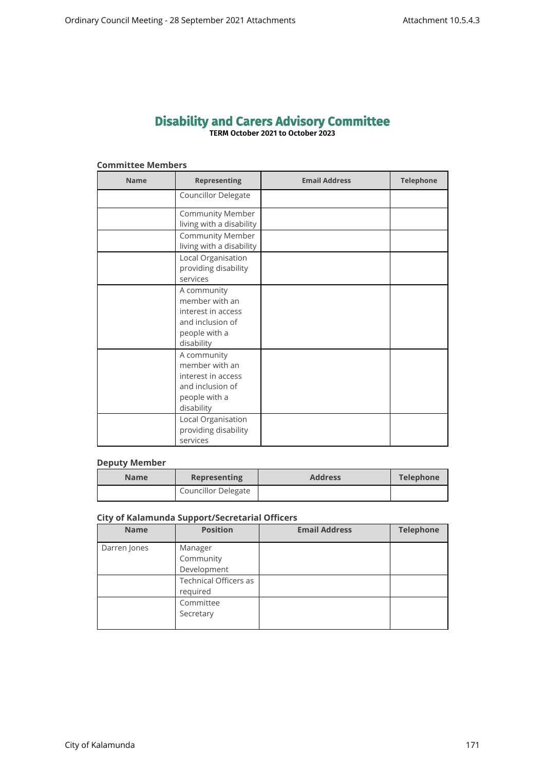# **Disability and Carers Advisory Committee TERM October 2021 to October 2023**

## **Committee Members**

| <b>Name</b> | <b>Representing</b>                                                                                    | <b>Email Address</b> | <b>Telephone</b> |
|-------------|--------------------------------------------------------------------------------------------------------|----------------------|------------------|
|             | Councillor Delegate                                                                                    |                      |                  |
|             | <b>Community Member</b><br>living with a disability                                                    |                      |                  |
|             | <b>Community Member</b><br>living with a disability                                                    |                      |                  |
|             | Local Organisation<br>providing disability<br>services                                                 |                      |                  |
|             | A community<br>member with an<br>interest in access<br>and inclusion of<br>people with a<br>disability |                      |                  |
|             | A community<br>member with an<br>interest in access<br>and inclusion of<br>people with a<br>disability |                      |                  |
|             | Local Organisation<br>providing disability<br>services                                                 |                      |                  |

# **Deputy Member**

| <b>Name</b> | <b>Representing</b>        | <b>Address</b> | Telephone |
|-------------|----------------------------|----------------|-----------|
|             | <b>Councillor Delegate</b> |                |           |

## **City of Kalamunda Support/Secretarial Officers**

| <b>Name</b>  | <b>Position</b>                          | <b>Email Address</b> | <b>Telephone</b> |
|--------------|------------------------------------------|----------------------|------------------|
| Darren Jones | Manager<br>Community<br>Development      |                      |                  |
|              | <b>Technical Officers as</b><br>required |                      |                  |
|              | Committee<br>Secretary                   |                      |                  |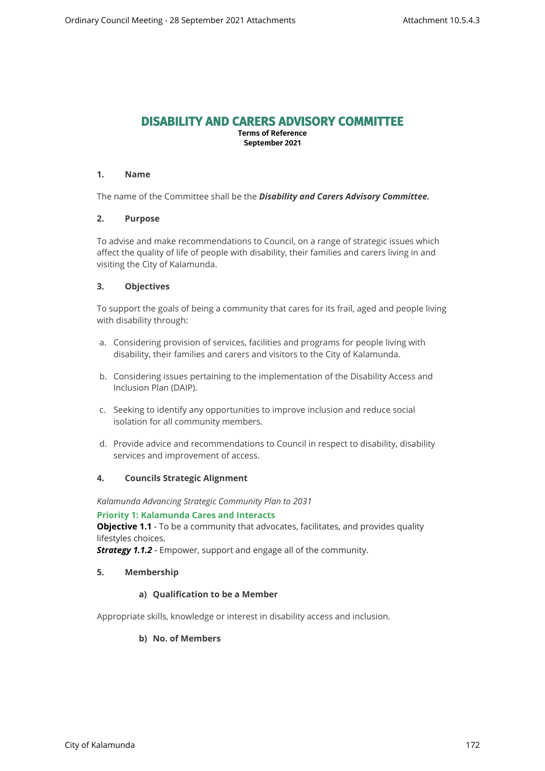# **DISABILITY AND CARERS ADVISORY COMMITTEE**

**Terms of Reference September 2021**

## **1. Name**

The name of the Committee shall be the *Disability and Carers Advisory Committee.*

# **2. Purpose**

To advise and make recommendations to Council, on a range of strategic issues which affect the quality of life of people with disability, their families and carers living in and visiting the City of Kalamunda.

# **3. Objectives**

To support the goals of being a community that cares for its frail, aged and people living with disability through:

- a. Considering provision of services, facilities and programs for people living with disability, their families and carers and visitors to the City of Kalamunda.
- b. Considering issues pertaining to the implementation of the Disability Access and Inclusion Plan (DAIP).
- c. Seeking to identify any opportunities to improve inclusion and reduce social isolation for all community members.
- d. Provide advice and recommendations to Council in respect to disability, disability services and improvement of access.

## **4. Councils Strategic Alignment**

*Kalamunda Advancing Strategic Community Plan to 2031* 

#### **Priority 1: Kalamunda Cares and Interacts**

**Objective 1.1** - To be a community that advocates, facilitates, and provides quality lifestyles choices.

*Strategy 1.1.2* - Empower, support and engage all of the community.

## **5. Membership**

## **a) Qualification to be a Member**

Appropriate skills, knowledge or interest in disability access and inclusion.

## **b) No. of Members**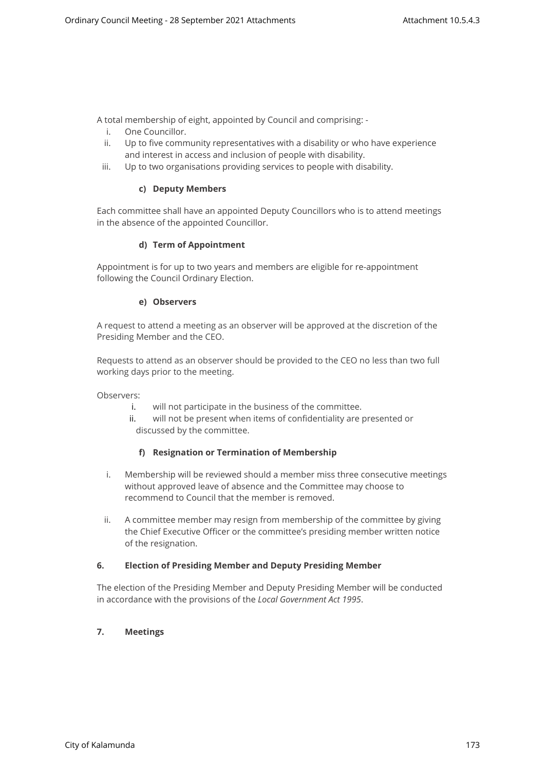A total membership of eight, appointed by Council and comprising: -

- i. One Councillor.
- ii. Up to five community representatives with a disability or who have experience and interest in access and inclusion of people with disability.
- iii. Up to two organisations providing services to people with disability.

## **c) Deputy Members**

Each committee shall have an appointed Deputy Councillors who is to attend meetings in the absence of the appointed Councillor.

#### **d) Term of Appointment**

Appointment is for up to two years and members are eligible for re-appointment following the Council Ordinary Election.

#### **e) Observers**

A request to attend a meeting as an observer will be approved at the discretion of the Presiding Member and the CEO.

Requests to attend as an observer should be provided to the CEO no less than two full working days prior to the meeting.

Observers:

- i. will not participate in the business of the committee.
- ii. will not be present when items of confidentiality are presented or discussed by the committee.

## **f) Resignation or Termination of Membership**

- i. Membership will be reviewed should a member miss three consecutive meetings without approved leave of absence and the Committee may choose to recommend to Council that the member is removed.
- ii. A committee member may resign from membership of the committee by giving the Chief Executive Officer or the committee's presiding member written notice of the resignation.

#### **6. Election of Presiding Member and Deputy Presiding Member**

The election of the Presiding Member and Deputy Presiding Member will be conducted in accordance with the provisions of the *Local Government Act 1995*.

# **7. Meetings**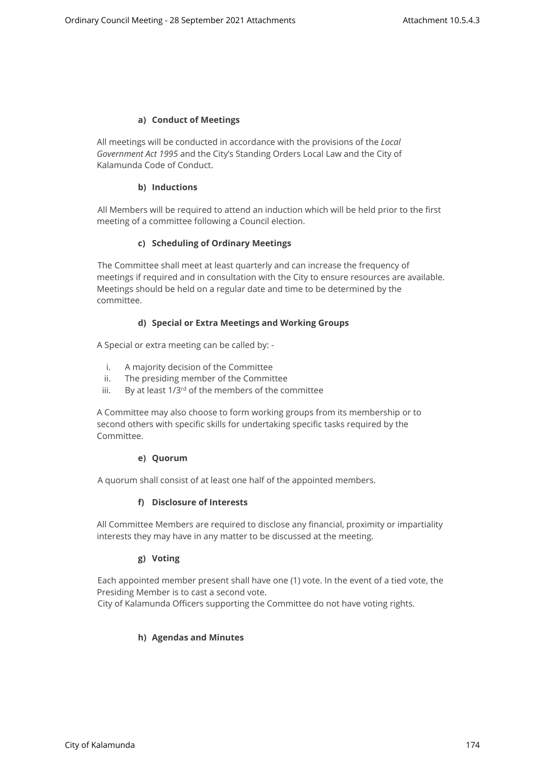## **a) Conduct of Meetings**

All meetings will be conducted in accordance with the provisions of the *Local Government Act 1995* and the City's Standing Orders Local Law and the City of Kalamunda Code of Conduct.

#### **b) Inductions**

All Members will be required to attend an induction which will be held prior to the first meeting of a committee following a Council election.

#### **c) Scheduling of Ordinary Meetings**

The Committee shall meet at least quarterly and can increase the frequency of meetings if required and in consultation with the City to ensure resources are available. Meetings should be held on a regular date and time to be determined by the committee.

#### **d) Special or Extra Meetings and Working Groups**

A Special or extra meeting can be called by: -

- i. A majority decision of the Committee
- ii. The presiding member of the Committee
- iii. By at least  $1/3^{rd}$  of the members of the committee

A Committee may also choose to form working groups from its membership or to second others with specific skills for undertaking specific tasks required by the Committee.

#### **e) Quorum**

A quorum shall consist of at least one half of the appointed members.

## **f) Disclosure of Interests**

All Committee Members are required to disclose any financial, proximity or impartiality interests they may have in any matter to be discussed at the meeting.

## **g) Voting**

Each appointed member present shall have one (1) vote. In the event of a tied vote, the Presiding Member is to cast a second vote.

City of Kalamunda Officers supporting the Committee do not have voting rights.

## **h) Agendas and Minutes**